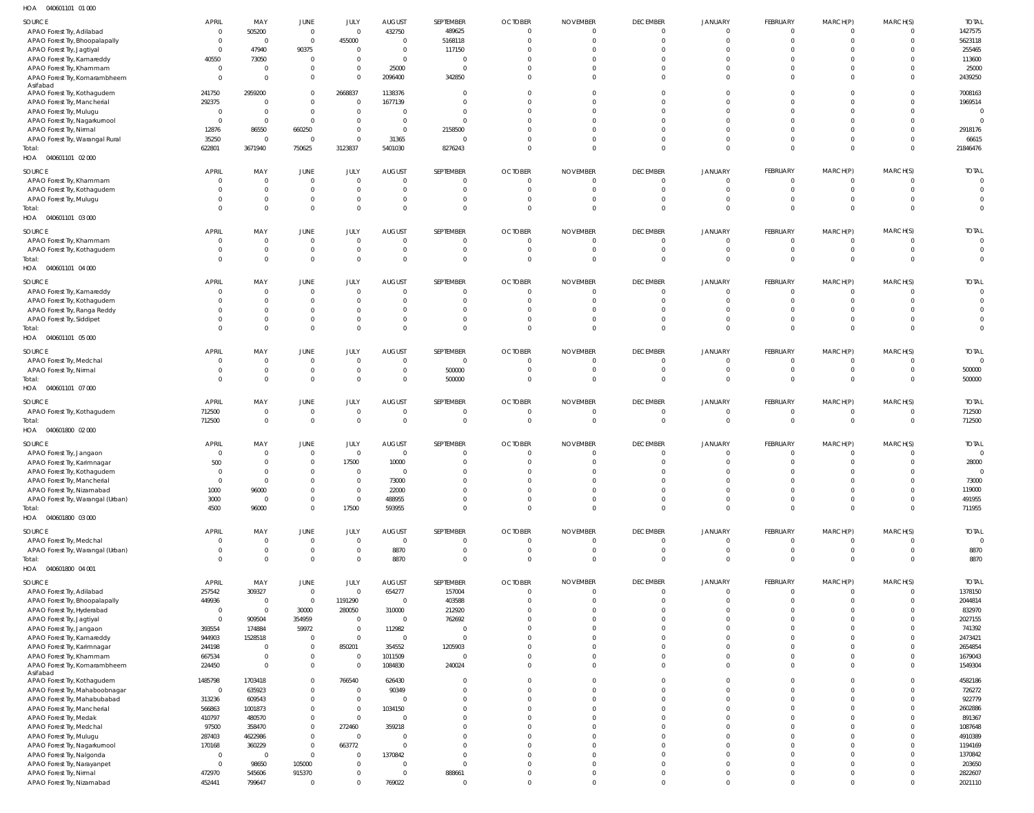040601101 01 000 HOA

| SOURCE                            | <b>APRIL</b>    | MAY            | JUNE                    | JULY                     | <b>AUGUST</b>                | <b>SEPTEMBER</b> | <b>OCTOBER</b> | <b>NOVEMBER</b> | <b>DECEMBER</b> | <b>JANUARY</b> | <b>FEBRUARY</b> | MARCH(P)                | MARCH(S)     | <b>TOTAL</b>             |
|-----------------------------------|-----------------|----------------|-------------------------|--------------------------|------------------------------|------------------|----------------|-----------------|-----------------|----------------|-----------------|-------------------------|--------------|--------------------------|
| APAO Forest Try, Adilabad         | $\overline{0}$  | 505200         | $\overline{0}$          | $\overline{0}$           | 432750                       | 489625           | $\mathbf 0$    | $\mathbf{0}$    | $\Omega$        | $\Omega$       | $\Omega$        | $\overline{0}$          |              | 1427575                  |
| APAO Forest Try, Bhoopalapally    | - 0             | $\overline{0}$ | $\overline{0}$          | 455000                   | $\mathbf{0}$                 | 5168118          | $\mathbf 0$    | $\mathbf 0$     | $\Omega$        | $\Omega$       | $\Omega$        | $\overline{0}$          | $\Omega$     | 5623118                  |
| APAO Forest Try, Jagtiyal         | $\overline{0}$  | 47940          | 90375                   | $\mathbf{0}$             | $\mathbf{0}$                 | 117150           | $\Omega$       | $\Omega$        |                 |                | $\Omega$        | $\Omega$                |              | 255465                   |
| APAO Forest Try, Kamareddy        | 40550           | 73050          | $\overline{0}$          | $\overline{0}$           | $\Omega$                     | $\overline{0}$   | $\Omega$       | $\Omega$        |                 |                | $\Omega$        | $\Omega$                |              | 113600                   |
| APAO Forest Try, Khammam          | $\overline{0}$  | $\overline{0}$ | $\mathbf 0$             | $\overline{0}$           | 25000                        | $\overline{0}$   | $\Omega$       | $\Omega$        |                 | $\Omega$       | $\Omega$        | $\Omega$                |              | 25000                    |
| APAO Forest Try, Komarambheem     | $\Omega$        | $\Omega$       | $\mathbf{0}$            | $\Omega$                 | 2096400                      | 342850           | $\Omega$       | $\Omega$        | $\Omega$        | $\Omega$       | $\Omega$        | $\Omega$                | $\Omega$     | 2439250                  |
| Asifabad                          |                 |                |                         |                          |                              |                  |                |                 |                 |                |                 |                         |              |                          |
| APAO Forest Try, Kothagudem       | 241750          | 2959200        | $\mathbf 0$             | 2668837                  | 1138376                      | $\Omega$         | $\Omega$       | $\Omega$        |                 | $\Omega$       | $\Omega$        | $\Omega$                |              | 7008163                  |
| APAO Forest Try, Mancherial       | 292375          | $\Omega$       | $\mathbf 0$             | $\overline{0}$           | 1677139                      | $\Omega$         | $\Omega$       | $\Omega$        |                 |                | $\Omega$        | $\Omega$                | $\Omega$     | 1969514                  |
| APAO Forest Try, Mulugu           | $\overline{0}$  | $\Omega$       | $\mathbf 0$             | $\Omega$                 | $\Omega$                     | $\Omega$         | $\Omega$       | $\Omega$        |                 | $\Omega$       | $\Omega$        | $\Omega$                |              | $\overline{0}$           |
| APAO Forest Try, Nagarkurnool     | $\overline{0}$  | $\Omega$       | $\mathbf{0}$            | $\Omega$                 | $\overline{0}$               | $\Omega$         | $\Omega$       | $\Omega$        |                 |                |                 | $\Omega$                |              | $\Omega$                 |
| APAO Forest Try, Nirmal           | 12876           | 86550          | 660250                  | $\overline{0}$           | $\mathbf 0$                  | 2158500          | $\Omega$       | $\Omega$        |                 |                | $\Omega$        | $\Omega$                |              | 2918176                  |
| APAO Forest Try, Warangal Rural   | 35250           | $\overline{0}$ | $\overline{0}$          | $\overline{0}$           | 31365                        | $\overline{0}$   | $\Omega$       | $\Omega$        |                 | $\Omega$       | $\Omega$        | $\overline{0}$          | $\Omega$     | 66615                    |
| Total:                            | 622801          | 3671940        | 750625                  | 3123837                  | 5401030                      | 8276243          | $\Omega$       | $\overline{0}$  | $\Omega$        | $\Omega$       | $\Omega$        | $\overline{0}$          | $\Omega$     | 21846476                 |
| HOA  040601101  02  000           |                 |                |                         |                          |                              |                  |                |                 |                 |                |                 |                         |              |                          |
|                                   |                 |                |                         |                          |                              |                  |                |                 |                 |                |                 |                         |              |                          |
| SOURCE                            | <b>APRIL</b>    | MAY            | JUNE                    | JULY                     | <b>AUGUST</b>                | SEPTEMBER        | <b>OCTOBER</b> | <b>NOVEMBER</b> | <b>DECEMBER</b> | <b>JANUARY</b> | FEBRUARY        | MARCH(P)                | MARCH(S)     | <b>TOTAL</b>             |
| APAO Forest Try, Khammam          | - 0             | $\Omega$       | $\overline{0}$          | $\overline{0}$           | $\Omega$                     | $\mathbf{0}$     | $\mathbf{0}$   | $\mathbf{0}$    |                 |                | $\Omega$        | $\mathbf{0}$            |              | $\circ$                  |
| APAO Forest Try, Kothagudem       | $\Omega$        | $\Omega$       | $\mathbf 0$             | $\Omega$                 | $\Omega$                     | $\mathbf 0$      | $\mathbf 0$    | $\Omega$        | $\Omega$        | $\Omega$       | $\Omega$        | $\Omega$                | 0            | $\Omega$                 |
| APAO Forest Try, Mulugu           | $\Omega$        | $\Omega$       | $\mathbf 0$             | $\overline{0}$           | $\mathbf 0$                  | $\mathbf{0}$     | $\mathbf{0}$   | $\Omega$        | $\Omega$        | $\Omega$       | $\Omega$        | $\overline{0}$          |              | $\Omega$                 |
| Total:                            | $\Omega$        | $\Omega$       | $\mathbf 0$             | $\Omega$                 | $\Omega$                     | $\mathbf 0$      | $\Omega$       | $\Omega$        | $\Omega$        | $\Omega$       | $\Omega$        | $\Omega$                | $\Omega$     | $\overline{0}$           |
| HOA  040601101  03  000           |                 |                |                         |                          |                              |                  |                |                 |                 |                |                 |                         |              |                          |
|                                   |                 |                |                         |                          |                              |                  |                |                 |                 |                |                 |                         |              |                          |
| SOURCE                            | <b>APRIL</b>    | MAY            | JUNE                    | JULY                     | <b>AUGUST</b>                | SEPTEMBER        | <b>OCTOBER</b> | <b>NOVEMBER</b> | <b>DECEMBER</b> | JANUARY        | FEBRUARY        | MARCH(P)                | MARCH(S)     | <b>TOTAL</b>             |
| APAO Forest Try, Khammam          | $\overline{0}$  | $\overline{0}$ | $\overline{0}$          | $\overline{0}$           | $\mathbf 0$                  | $\mathbf 0$      | $\overline{0}$ | $\mathbf{0}$    | $\Omega$        | $\Omega$       | $\Omega$        | $\overline{0}$          | $\Omega$     | $\overline{\phantom{0}}$ |
| APAO Forest Try, Kothagudem       | - 0             | $\overline{0}$ | $\mathbf 0$             | $\overline{0}$           | $\mathbf 0$                  | $\overline{0}$   | $\overline{0}$ | $\overline{0}$  | $\mathbf{0}$    | $\mathbf{0}$   | $\overline{0}$  | $\overline{0}$          | $\mathbf{0}$ | $\overline{\mathbf{0}}$  |
| Total:                            | $\Omega$        | $\Omega$       | $\mathbf{0}$            | $\Omega$                 | $\Omega$                     | $\overline{0}$   | $\Omega$       | $\Omega$        | $\Omega$        | $\Omega$       | $\Omega$        | $\Omega$                | $\Omega$     | $\overline{0}$           |
| HOA  040601101  04  000           |                 |                |                         |                          |                              |                  |                |                 |                 |                |                 |                         |              |                          |
| SOURCE                            | <b>APRIL</b>    | MAY            | JUNE                    | JULY                     | <b>AUGUST</b>                | SEPTEMBER        | <b>OCTOBER</b> | <b>NOVEMBER</b> | <b>DECEMBER</b> | <b>JANUARY</b> | FEBRUARY        | MARCH(P)                | MARCH(S)     | <b>TOTAL</b>             |
| APAO Forest Try, Kamareddy        | - 0             | $\overline{0}$ | $\overline{0}$          | $\Omega$                 | $\Omega$                     | $\mathbf{0}$     | $\mathbf{0}$   | $\mathbf{0}$    |                 |                | $\Omega$        | $\Omega$                |              | $\overline{0}$           |
| APAO Forest Try, Kothagudem       | 0               | $\Omega$       | $\mathbf 0$             | $\Omega$                 | $\Omega$                     | $\mathbf{0}$     | $\mathbf{0}$   | $\Omega$        | - 0             | $\Omega$       | $\Omega$        | $\Omega$                |              | $\Omega$                 |
|                                   | $\Omega$        | $\Omega$       | $\mathbf 0$             | $\Omega$                 | $\Omega$                     | $\Omega$         | $\Omega$       | $\Omega$        |                 |                | $\Omega$        | $\Omega$                |              | $\Omega$                 |
| APAO Forest Try, Ranga Reddy      | $\Omega$        | $\Omega$       | $\mathbf 0$             | $\Omega$                 | $\Omega$                     | $\Omega$         | $\Omega$       | $\Omega$        | $\Omega$        | $\Omega$       | $\Omega$        | $\Omega$                | <sup>0</sup> | $\overline{0}$           |
| APAO Forest Try, Siddipet         |                 | $\Omega$       |                         | $\Omega$                 |                              | $\Omega$         | $\Omega$       | $\Omega$        | $\Omega$        | $\Omega$       | $\Omega$        | $\Omega$                | $\Omega$     | $\overline{0}$           |
| Total:                            | $\Omega$        |                | $\mathbf 0$             |                          | $\Omega$                     |                  |                |                 |                 |                |                 |                         |              |                          |
| HOA  040601101  05  000           |                 |                |                         |                          |                              |                  |                |                 |                 |                |                 |                         |              |                          |
| SOURCE                            | <b>APRIL</b>    | MAY            | <b>JUNE</b>             | JULY                     | <b>AUGUST</b>                | SEPTEMBER        | <b>OCTOBER</b> | <b>NOVEMBER</b> | <b>DECEMBER</b> | <b>JANUARY</b> | FEBRUARY        | MARCH(P)                | MARCH(S)     | <b>TOTAL</b>             |
| APAO Forest Try, Medchal          | $\overline{0}$  | $\overline{0}$ | $\overline{0}$          | $\overline{0}$           | $\overline{0}$               | $\overline{0}$   | $\overline{0}$ | $\overline{0}$  | $\Omega$        | $\Omega$       | $\Omega$        | $\overline{0}$          |              | $\overline{0}$           |
| APAO Forest Try, Nirmal           | - 0             | $\overline{0}$ | $\mathbf 0$             | $\overline{0}$           | $\mathbf 0$                  | 500000           | $\overline{0}$ | $\mathbf 0$     | $\Omega$        | $\mathbf{0}$   | $\Omega$        | $\overline{0}$          | $\Omega$     | 500000                   |
| Total:                            | $\Omega$        | $\Omega$       | $\mathbf 0$             | $\mathbf 0$              | $\mathbf 0$                  | 500000           | $\overline{0}$ | $\overline{0}$  | $\Omega$        | $\Omega$       | $\Omega$        | $\overline{0}$          | $\mathbf{0}$ | 500000                   |
| HOA  040601101  07  000           |                 |                |                         |                          |                              |                  |                |                 |                 |                |                 |                         |              |                          |
|                                   |                 |                |                         |                          |                              |                  |                |                 |                 |                |                 |                         |              |                          |
| SOURCE                            | <b>APRIL</b>    | MAY            | <b>JUNE</b>             | JULY                     | <b>AUGUST</b>                | SEPTEMBER        | <b>OCTOBER</b> | <b>NOVEMBER</b> | <b>DECEMBER</b> | <b>JANUARY</b> | FEBRUARY        | MARCH(P)                | MARCH(S)     | <b>TOTAL</b>             |
| APAO Forest Try, Kothagudem       | 712500          | $\overline{0}$ | $\mathbf 0$             | $\overline{0}$           | $\mathbf 0$                  | $\mathbf 0$      | $\mathbf 0$    | $\mathbf{0}$    | $\Omega$        | $\Omega$       | $\Omega$        | $\overline{0}$          | $\Omega$     | 712500                   |
| Total:                            | 712500          | $\overline{0}$ | $\mathbf{0}$            | $\Omega$                 | $\Omega$                     | $\mathbf{0}$     | $\overline{0}$ | $\Omega$        | $\Omega$        | $\Omega$       | $\Omega$        | $\Omega$                | $\Omega$     | 712500                   |
| HOA  040601800  02  000           |                 |                |                         |                          |                              |                  |                |                 |                 |                |                 |                         |              |                          |
|                                   | <b>APRIL</b>    | MAY            | JUNE                    | JULY                     |                              | SEPTEMBER        | <b>OCTOBER</b> | <b>NOVEMBER</b> | <b>DECEMBER</b> | JANUARY        | FEBRUARY        | MARCH(P)                | MARCH(S)     | <b>TOTAL</b>             |
| SOURCE                            | $\overline{0}$  | $\Omega$       | $\overline{0}$          | $\overline{0}$           | <b>AUGUST</b><br>$\mathbf 0$ | $\overline{0}$   | $\overline{0}$ | $\Omega$        | $\Omega$        | $\Omega$       | $\Omega$        | $\overline{0}$          | $\Omega$     | $\overline{\phantom{0}}$ |
| APAO Forest Try, Jangaon          |                 | $\Omega$       |                         |                          |                              | $\overline{0}$   | $\Omega$       | $\Omega$        | $\Omega$        | $\Omega$       | $\Omega$        | $\Omega$                | $\Omega$     | 28000                    |
| APAO Forest Try, Karimnagar       | 500<br>$\Omega$ | $\Omega$       | $\mathbf 0$<br>$\Omega$ | 17500<br>$\Omega$        | 10000<br>$\Omega$            | $\Omega$         | $\Omega$       | $\Omega$        |                 |                | $\Omega$        | $\Omega$                | $\Omega$     | $\Omega$                 |
| APAO Forest Try, Kothagudem       |                 |                |                         |                          |                              |                  |                |                 |                 |                |                 |                         | $\Omega$     |                          |
| APAO Forest Try, Mancherial       | $\overline{0}$  | $\overline{0}$ | $\mathbf 0$             | $\overline{0}$           | 73000                        | $\overline{0}$   | $\mathbf 0$    | $\Omega$        |                 | $\Omega$       | $\Omega$        | $\Omega$                |              | 73000                    |
| APAO Forest Try, Nizamabad        | 1000            | 96000          | $\mathbf 0$             | $\overline{0}$           | 22000                        | $\mathbf{0}$     | $\mathbf{0}$   | $\Omega$        | $\Omega$        | $\Omega$       | $\Omega$        | $\overline{0}$          | $\Omega$     | 119000                   |
| APAO Forest Try, Warangal (Urban) | 3000            | $\Omega$       | $\mathbf 0$             | $\overline{0}$           | 488955                       | $\mathbf{0}$     | $\Omega$       | $\overline{0}$  | $\mathbf 0$     | $\mathbf 0$    | $\Omega$        | $\overline{0}$          | $\Omega$     | 491955                   |
| Total:                            | 4500            | 96000          | $\mathbf 0$             | 17500                    | 593955                       | $\mathbf{0}$     | $\Omega$       | $\overline{0}$  | $\Omega$        | $\Omega$       | $\Omega$        | $\overline{0}$          | $\Omega$     | 711955                   |
| HOA  040601800  03  000           |                 |                |                         |                          |                              |                  |                |                 |                 |                |                 |                         |              |                          |
| SOURCE                            | <b>APRIL</b>    | MAY            | <b>JUNE</b>             | JULY                     | <b>AUGUST</b>                | SEPTEMBER        | <b>OCTOBER</b> | <b>NOVEMBER</b> | <b>DECEMBER</b> | JANUARY        | FEBRUARY        | MARCH(P)                | MARCH(S)     | <b>TOTAL</b>             |
| APAO Forest Try, Medchal          | $\overline{0}$  | $\Omega$       | $\mathbf 0$             | $\overline{0}$           | $\overline{0}$               | $\mathbf 0$      | $\overline{0}$ | $\overline{0}$  | $\Omega$        | $\mathbf{0}$   | $\overline{0}$  | $\overline{\mathbf{0}}$ | $\Omega$     | $\overline{0}$           |
| APAO Forest Try, Warangal (Urban) | $\Omega$        | $\Omega$       | $\mathbf 0$             | $\Omega$                 | 8870                         | $\mathbf 0$      | $\mathbf 0$    | $\mathbf 0$     | $\Omega$        | $\Omega$       | $\Omega$        | $\overline{0}$          | $\Omega$     | 8870                     |
| Total:                            | $\Omega$        | $\Omega$       | $\mathbf{0}$            | $\mathbf 0$              | 8870                         | $\mathbf 0$      | $\overline{0}$ | $\mathbf{0}$    | $\mathbf{0}$    | $\mathbf{0}$   | $\Omega$        | $\overline{0}$          | $\Omega$     | 8870                     |
| HOA  040601800  04  001           |                 |                |                         |                          |                              |                  |                |                 |                 |                |                 |                         |              |                          |
|                                   |                 |                |                         |                          |                              |                  |                |                 |                 |                |                 |                         |              |                          |
| SOURCE                            | <b>APRIL</b>    | MAY            | <b>JUNE</b>             | JULY                     | <b>AUGUST</b>                | SEPTEMBER        | <b>OCTOBER</b> | <b>NOVEMBER</b> | <b>DECEMBER</b> | JANUARY        | FEBRUARY        | MARCH(P)                | MARCH(S)     | <b>TOTAL</b>             |
| APAO Forest Try, Adilabad         | 257542          | 309327         | $\overline{0}$          | $\overline{0}$           | 654277                       | 157004           | $\overline{0}$ | $\mathbf 0$     | $\Omega$        | $\Omega$       | $\overline{0}$  | $\overline{0}$          |              | 1378150                  |
| APAO Forest Try, Bhoopalapally    | 449936          | $\overline{0}$ | $\overline{0}$          | 1191290                  | $\mathbf 0$                  | 403588           | $\mathbf{0}$   | $\mathbf{0}$    | $\Omega$        | $\Omega$       | $\Omega$        | $\overline{0}$          | $\Omega$     | 2044814                  |
| APAO Forest Try, Hyderabad        | $\overline{0}$  | $\overline{0}$ | 30000                   | 280050                   | 310000                       | 212920           | $\Omega$       | $\mathbf 0$     | $\Omega$        | $\Omega$       | $\Omega$        | $\Omega$                |              | 832970                   |
| APAO Forest Try, Jagtiyal         | $\overline{0}$  | 909504         | 354959                  | $\overline{\phantom{0}}$ | $\mathbf 0$                  | 762692           | $\Omega$       | $\Omega$        |                 |                | $\Omega$        | $\Omega$                | $\Omega$     | 2027155                  |
| APAO Forest Try, Jangaon          | 393554          | 174884         | 59972                   | $\overline{0}$           | 112982                       | $\overline{0}$   | $\Omega$       | $\Omega$        |                 | $\Omega$       | $\Omega$        | $\Omega$                |              | 741392                   |
| APAO Forest Try, Kamareddy        | 944903          | 1528518        | $\overline{0}$          | $\overline{0}$           | $\mathbf 0$                  | $\overline{0}$   | $\Omega$       | $\Omega$        |                 |                | $\Omega$        | $\Omega$                |              | 2473421                  |
| APAO Forest Try, Karimnagar       | 244198          | $\Omega$       | $\mathbf 0$             | 850201                   | 354552                       | 1205903          | $\Omega$       | $\Omega$        |                 | $\Omega$       | $\Omega$        | $\Omega$                | $\Omega$     | 2654854                  |
| APAO Forest Try, Khammam          | 667534          | $\overline{0}$ | $\mathbf 0$             | $\overline{0}$           | 1011509                      | $\overline{0}$   | $\Omega$       | $\mathbf{0}$    | $\Omega$        | $\Omega$       | $\Omega$        | $\overline{0}$          | $\Omega$     | 1679043                  |
| APAO Forest Try, Komarambheem     | 224450          | $\Omega$       | $\mathbf 0$             | $\overline{0}$           | 1084830                      | 240024           | $\Omega$       | $\Omega$        | $\Omega$        | $\Omega$       | $\Omega$        | $\Omega$                | $\Omega$     | 1549304                  |
| Asifabad                          |                 |                |                         |                          |                              |                  |                |                 |                 |                |                 |                         |              |                          |
| APAO Forest Try, Kothagudem       | 1485798         | 1703418        | $\mathbf 0$             | 766540                   | 626430                       | $\mathbf 0$      | $\Omega$       | $\Omega$        |                 | $\Omega$       | $\Omega$        | $\Omega$                | $\Omega$     | 4582186                  |
| APAO Forest Try, Mahaboobnagar    | $\overline{0}$  | 635923         | $\mathbb O$             | $\overline{0}$           | 90349                        | $\overline{0}$   | $\Omega$       | $\Omega$        |                 | $\Omega$       | $\Omega$        | $\Omega$                |              | 726272                   |
| APAO Forest Try, Mahabubabad      | 313236          | 609543         | $\mathbf{0}$            | $\overline{0}$           | $\overline{0}$               | $\mathbf 0$      | $\Omega$       | $\Omega$        |                 | $\Omega$       | $\Omega$        | $\Omega$                | $\Omega$     | 922779                   |
| APAO Forest Try, Mancherial       | 566863          | 1001873        | $\mathbf 0$             | $\overline{0}$           | 1034150                      | $\Omega$         | $\Omega$       | $\Omega$        |                 | $\Omega$       | $\Omega$        | $\Omega$                |              | 2602886                  |
| APAO Forest Try, Medak            | 410797          | 480570         | $\mathbf 0$             | $\overline{0}$           | $\overline{0}$               | $\Omega$         | $\Omega$       | $\Omega$        |                 |                | $\Omega$        | $\Omega$                |              | 891367                   |
| APAO Forest Try, Medchal          | 97500           | 358470         | $\mathbf 0$             | 272460                   | 359218                       | $\Omega$         | $\Omega$       | $\Omega$        |                 |                | $\Omega$        | $\Omega$                |              | 1087648                  |
| APAO Forest Try, Mulugu           | 287403          | 4622986        | $\mathbf{0}$            | $\overline{0}$           | $\mathbf 0$                  | $\Omega$         | $\Omega$       | $\Omega$        |                 |                | $\Omega$        | $\Omega$                |              | 4910389                  |
| APAO Forest Try, Nagarkurnool     | 170168          | 360229         | $\mathbf 0$             | 663772                   | $\mathbf{0}$                 | $\Omega$         | $\Omega$       | $\Omega$        |                 | $\Omega$       | $\Omega$        | $\Omega$                |              | 1194169                  |
| APAO Forest Try, Nalgonda         | $\overline{0}$  | - 0            | $\mathbf{0}$            | $\overline{0}$           | 1370842                      | $\Omega$         | $\Omega$       | $\Omega$        |                 |                | $\Omega$        | $\Omega$                | $\Omega$     | 1370842                  |
| APAO Forest Try, Narayanpet       | $\overline{0}$  | 98650          | 105000                  | $\overline{0}$           | $\mathbf 0$                  | $\overline{0}$   | $\Omega$       | $\Omega$        | $\Omega$        | $\Omega$       | $\Omega$        | $\Omega$                |              | 203650                   |
| APAO Forest Try, Nirmal           | 472970          | 545606         | 915370                  | $\overline{0}$           | $\mathbf{0}$                 | 888661           | $\mathbf 0$    | $\mathbf 0$     | $\Omega$        | $\Omega$       | $\Omega$        | $\overline{0}$          |              | 2822607                  |
| APAO Forest Try, Nizamabad        | 452441          | 799647         |                         | $\Omega$                 | 769022                       | $\overline{0}$   | $\Omega$       | $\overline{0}$  | $\Omega$        | $\Omega$       | $\Omega$        | $\Omega$                | $\Omega$     | 2021110                  |
|                                   |                 |                |                         |                          |                              |                  |                |                 |                 |                |                 |                         |              |                          |